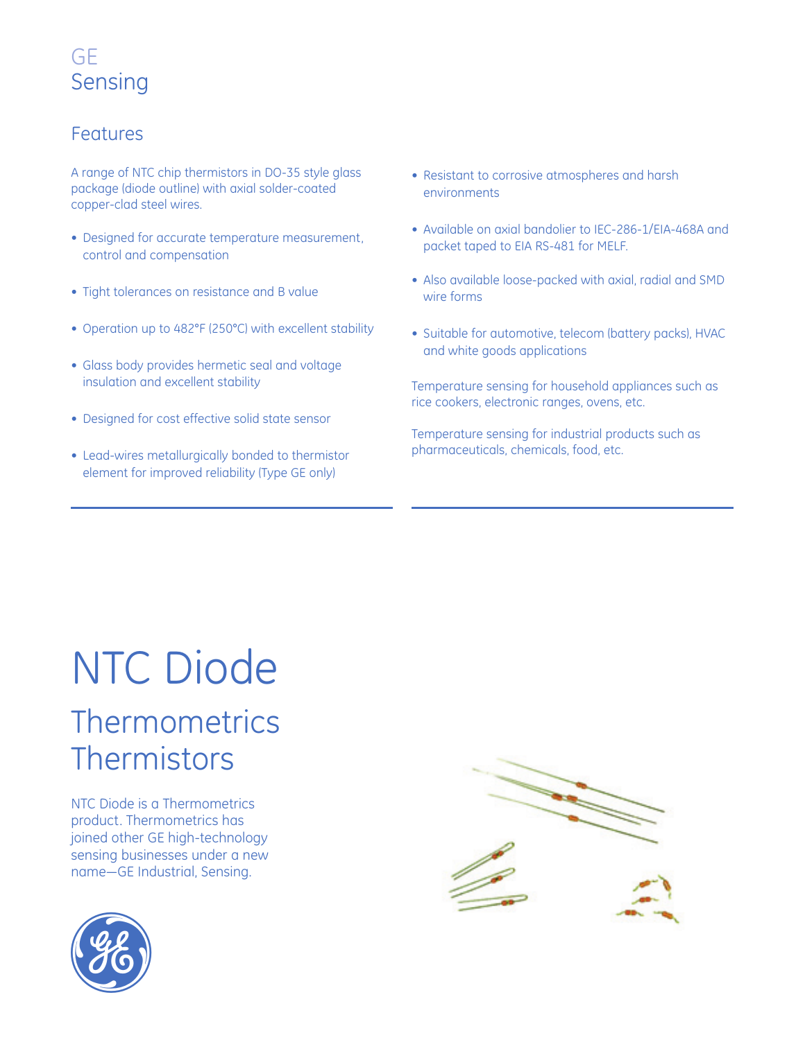#### Features

A range of NTC chip thermistors in DO-35 style glass package (diode outline) with axial solder-coated copper-clad steel wires.

- Designed for accurate temperature measurement, control and compensation
- Tight tolerances on resistance and B value
- Operation up to 482°F (250°C) with excellent stability
- Glass body provides hermetic seal and voltage insulation and excellent stability
- Designed for cost effective solid state sensor
- Lead-wires metallurgically bonded to thermistor element for improved reliability (Type GE only)
- Resistant to corrosive atmospheres and harsh environments
- Available on axial bandolier to IEC-286-1/EIA-468A and packet taped to EIA RS-481 for MELF.
- Also available loose-packed with axial, radial and SMD wire forms
- Suitable for automotive, telecom (battery packs), HVAC and white goods applications

Temperature sensing for household appliances such as rice cookers, electronic ranges, ovens, etc.

Temperature sensing for industrial products such as pharmaceuticals, chemicals, food, etc.

# NTC Diode **Thermometrics Thermistors**

NTC Diode is a Thermometrics product. Thermometrics has joined other GE high-technology sensing businesses under a new name—GE Industrial, Sensing.



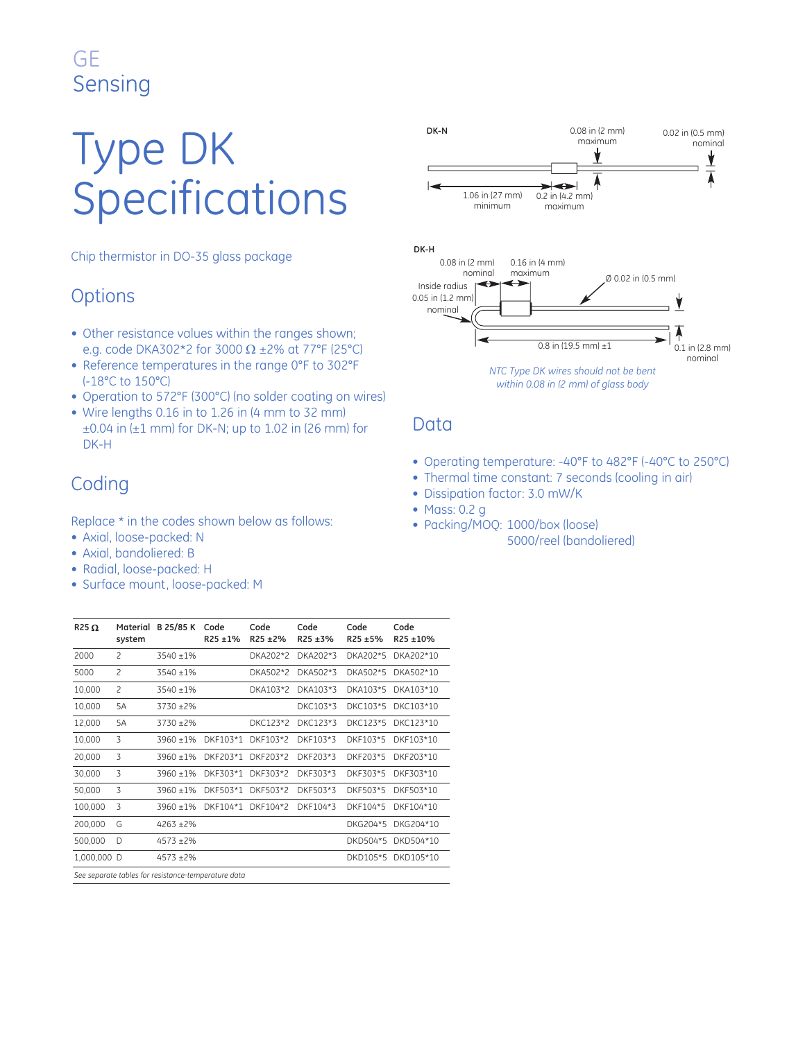# Type DK Specifications

Chip thermistor in DO-35 glass package

### **Options**

- Other resistance values within the ranges shown; e.g. code DKA302\*2 for 3000  $\Omega$  ±2% at 77°F (25°C)
- Reference temperatures in the range 0°F to 302°F (-18°C to 150°C)
- Operation to 572°F (300°C) (no solder coating on wires)
- Wire lengths 0.16 in to 1.26 in (4 mm to 32 mm)  $\pm 0.04$  in ( $\pm 1$  mm) for DK-N; up to 1.02 in (26 mm) for DK-H

### Coding

Replace \* in the codes shown below as follows:

- Axial, loose-packed: N
- Axial, bandoliered: B
- Radial, loose-packed: H
- Surface mount, loose-packed: M



- Operating temperature: -40°F to 482°F (-40°C to 250°C)
- Thermal time constant: 7 seconds (cooling in air)
- Dissipation factor: 3.0 mW/K
- Mass: 0.2 g
- Packing/MOQ: 1000/box (loose) 5000/reel (bandoliered)

| $R25\Omega$                                         | Material<br>system       | B 25/85 K    | Code<br>$R25 + 1%$ | Code<br>$R25 + 2%$ | Code<br>$R25 + 3%$ | Code<br>R25 ±5% | Code<br>R25 ±10%   |
|-----------------------------------------------------|--------------------------|--------------|--------------------|--------------------|--------------------|-----------------|--------------------|
| 2000                                                | $\overline{c}$           | $3540 + 1%$  |                    | DKA202*2           | DKA202*3           | DKA202*5        | DKA202*10          |
| 5000                                                | $\overline{\mathcal{L}}$ | $3540 + 1\%$ |                    | DKA502*2           | DKA502*3           | DKA502*5        | DKA502*10          |
| 10,000                                              | $\overline{c}$           | $3540 + 1%$  |                    | DKA103*2           | DKA103*3           | DKA103*5        | DKA103*10          |
| 10,000                                              | 5A                       | $3730 + 2\%$ |                    |                    | DKC103*3           | DKC103*5        | DKC103*10          |
| 12,000                                              | 5A                       | $3730 + 2\%$ |                    | DKC123*2           | DKC123*3           | DKC123*5        | DKC123*10          |
| 10,000                                              | 3                        | $3960 + 1%$  | DKF103*1           | DKF103*2           | DKF103*3           | DKF103*5        | DKF103*10          |
| 20,000                                              | 3                        | $3960 + 1%$  | DKF203*1           | DKF203*2           | DKF203*3           | DKF203*5        | DKF203*10          |
| 30,000                                              | 3                        | $3960 + 1%$  | DKF303*1           | DKF303*2           | DKF303*3           | DKF303*5        | DKF303*10          |
| 50,000                                              | 3                        | $3960 + 1%$  | DKF503*1           | DKF503*2           | DKF503*3           | DKF503*5        | DKF503*10          |
| 100.000                                             | 3                        | $3960 + 1%$  | DKF104*1           | DKF104*2           | DKF104*3           | DKF104*5        | DKF104*10          |
| 200,000                                             | G                        | $4263 + 2\%$ |                    |                    |                    | DKG204*5        | DKG204*10          |
| 500,000                                             | D                        | $4573 + 2\%$ |                    |                    |                    | DKD504*5        | DKD504*10          |
| 1,000,000 D                                         |                          | $4573 + 2\%$ |                    |                    |                    |                 | DKD105*5 DKD105*10 |
| See separate tables for resistance-temperature data |                          |              |                    |                    |                    |                 |                    |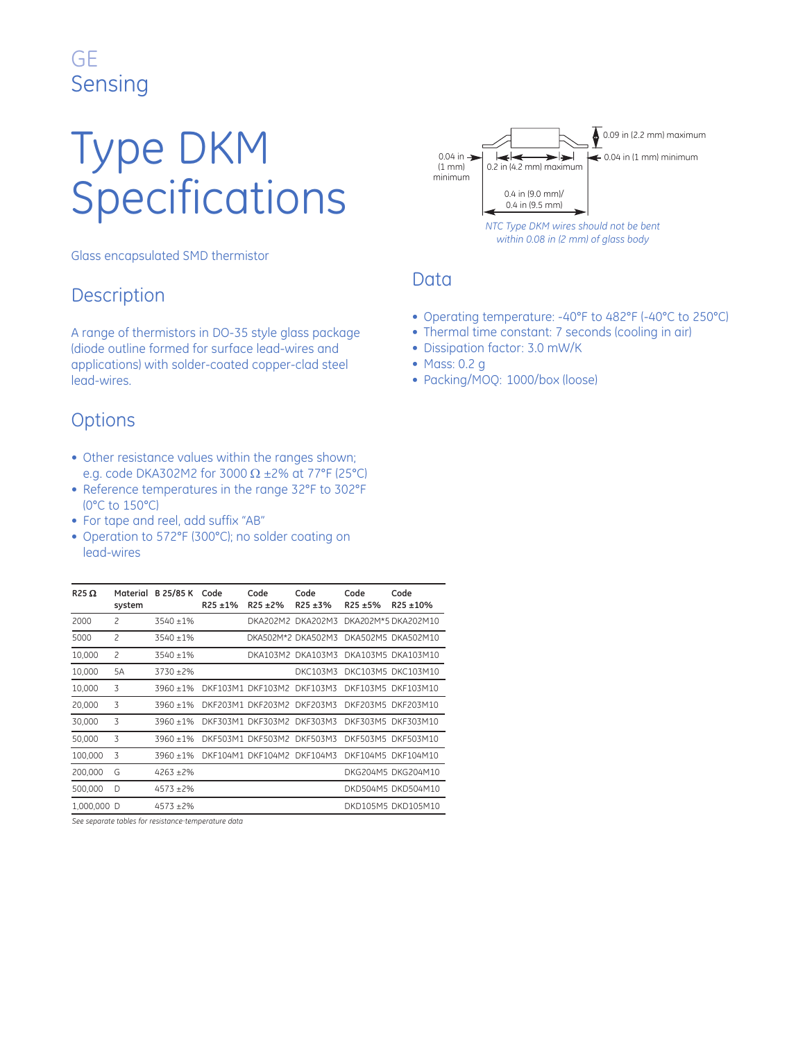# Type DKM Specifications

Glass encapsulated SMD thermistor

#### **Description**

A range of thermistors in DO-35 style glass package (diode outline formed for surface lead-wires and applications) with solder-coated copper-clad steel lead-wires.

#### **Options**

- Other resistance values within the ranges shown; e.g. code DKA302M2 for 3000 Ω ±2% at 77°F (25°C)
- Reference temperatures in the range 32°F to 302°F (0°C to 150°C)
- For tape and reel, add suffix "AB"
- Operation to 572°F (300°C); no solder coating on lead-wires

| $R25\Omega$ | Material<br>system       | B 25/85 K    | Code<br>$R25 + 1%$ | Code<br>$R25 + 2%$         | Code<br>$R25 + 3%$ | Code<br>$R25 + 5%$ | Code<br>R25 ±10%    |
|-------------|--------------------------|--------------|--------------------|----------------------------|--------------------|--------------------|---------------------|
| 2000        | 2                        | $3540 + 1%$  |                    | DKA202M2                   | DKA202M3           |                    | DKA202M*5 DKA202M10 |
| 5000        | $\overline{c}$           | $3540 + 1%$  |                    |                            | DKA502M*2 DKA502M3 |                    | DKA502M5 DKA502M10  |
| 10,000      | $\overline{\mathcal{L}}$ | 3540 ±1%     |                    |                            | DKA103M2 DKA103M3  |                    | DKA103M5 DKA103M10  |
| 10,000      | 5A                       | 3730 ±2%     |                    |                            | DKC103M3           |                    | DKC103M5 DKC103M10  |
| 10,000      | 3                        | $3960 + 1%$  |                    | DKF103M1 DKF103M2          | DKF103M3           |                    | DKF103M5 DKF103M10  |
| 20,000      | 3                        | $3960 + 1%$  |                    | DKF203M1 DKF203M2          | DKF203M3           |                    | DKF203M5 DKF203M10  |
| 30,000      | 3                        | $3960 + 1%$  |                    | DKF303M1 DKF303M2          | DKF303M3           | DKF303M5           | DKF303M10           |
| 50,000      | 3                        | $3960 + 1%$  |                    | DKF503M1 DKF503M2          | DKF503M3           | DKF503M5           | DKF503M10           |
| 100,000     | 3                        | $3960 + 1%$  |                    | DKF104M1 DKF104M2 DKF104M3 |                    |                    | DKF104M5 DKF104M10  |
| 200,000     | G                        | $4263 + 2\%$ |                    |                            |                    |                    | DKG204M5 DKG204M10  |
| 500,000     | D                        | $4573 + 2\%$ |                    |                            |                    |                    | DKD504M5 DKD504M10  |
| 1.000.000   | Ð                        | $4573 + 2\%$ |                    |                            |                    |                    | DKD105M5 DKD105M10  |

*See separate tables for resistance\_ temperature data*



- Operating temperature: -40°F to 482°F (-40°C to 250°C)
- Thermal time constant: 7 seconds (cooling in air)
- Dissipation factor: 3.0 mW/K
- Mass: 0.2 g
- Packing/MOQ: 1000/box (loose)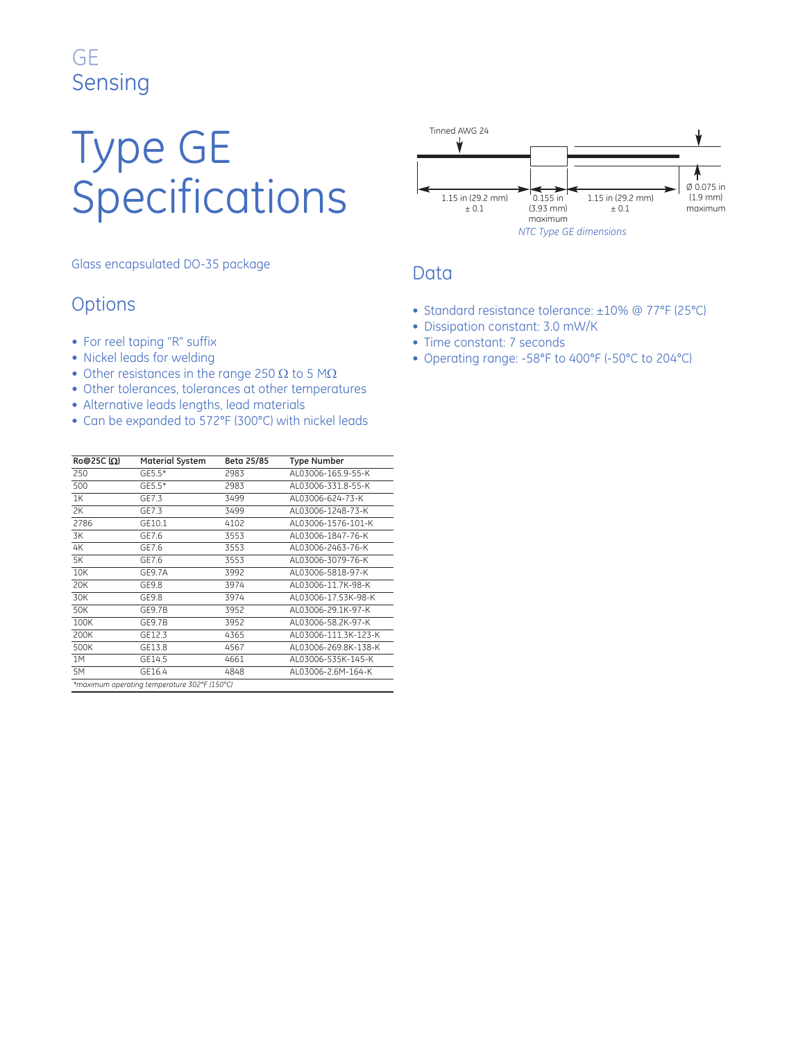# Type GE Specifications

Glass encapsulated DO-35 package

#### **Options**

- For reel taping "R" suffix
- Nickel leads for welding
- Other resistances in the range 250  $\Omega$  to 5 M $\Omega$
- Other tolerances, tolerances at other temperatures
- Alternative leads lengths, lead materials
- Can be expanded to 572°F (300°C) with nickel leads

| $R$ ο@25C (Ω)                                | <b>Material System</b> | Beta 25/85 | <b>Type Number</b>   |  |
|----------------------------------------------|------------------------|------------|----------------------|--|
| 250                                          | $GE5.5*$               | 2983       | AL03006-165.9-55-K   |  |
| 500                                          | $GE5.5*$               | 2983       | AL03006-331.8-55-K   |  |
| 1K                                           | GE7.3                  | 3499       | AL03006-624-73-K     |  |
| 2K                                           | GE7.3                  | 3499       | AL03006-1248-73-K    |  |
| 2786                                         | GE10.1                 | 4102       | AL03006-1576-101-K   |  |
| 3K                                           | GE7.6                  | 3553       | AL03006-1847-76-K    |  |
| 4K                                           | GE7.6                  | 3553       | AL03006-2463-76-K    |  |
| 5K                                           | GE7.6                  | 3553       | AL03006-3079-76-K    |  |
| 10K                                          | GE9.7A                 | 3992       | AL03006-5818-97-K    |  |
| 20K                                          | GE9.8                  | 3974       | AL03006-11.7K-98-K   |  |
| 30K                                          | GE9.8                  | 3974       | AL03006-17.53K-98-K  |  |
| 50K                                          | GE9.7B                 | 3952       | AL03006-29.1K-97-K   |  |
| 100K                                         | GE9.7B                 | 3952       | AL03006-58.2K-97-K   |  |
| 200K                                         | GE12.3                 | 4365       | AL03006-111.3K-123-K |  |
| 500K                                         | GE13.8                 | 4567       | AL03006-269.8K-138-K |  |
| 1M                                           | GE14.5                 | 4661       | AL03006-535K-145-K   |  |
| 5M                                           | GE16.4                 | 4848       | AL03006-2.6M-164-K   |  |
| *maximum operating temperature 302°F (150°C) |                        |            |                      |  |



- Standard resistance tolerance: ±10% @ 77°F (25°C)
- Dissipation constant: 3.0 mW/K
- Time constant: 7 seconds
- Operating range: -58°F to 400°F (-50°C to 204°C)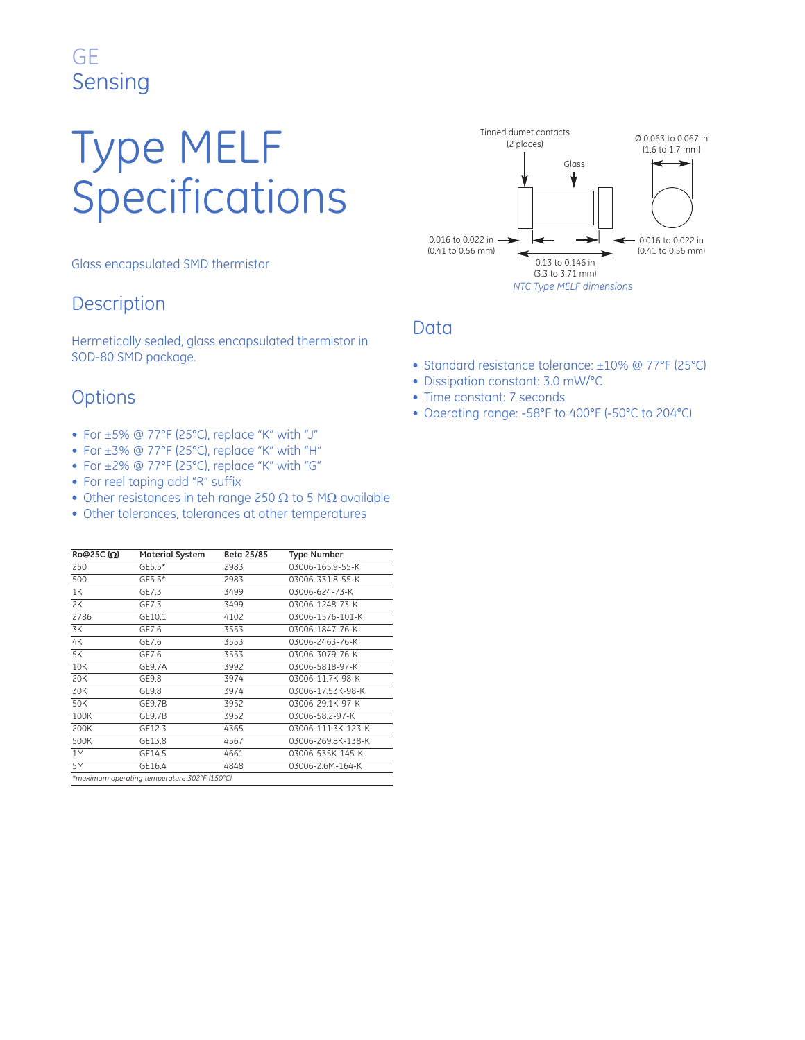# Type MELF Specifications

Glass encapsulated SMD thermistor

### **Description**

Hermetically sealed, glass encapsulated thermistor in SOD-80 SMD package.

### **Options**

- For ±5% @ 77°F (25°C), replace "K" with "J"
- For ±3% @ 77°F (25°C), replace "K" with "H"
- For ±2% @ 77°F (25°C), replace "K" with "G"
- For reel taping add "R" suffix
- Other resistances in teh range 250  $\Omega$  to 5 M $\Omega$  available
- Other tolerances, tolerances at other temperatures

| Ro@25C $(\Omega)$ | <b>Material System</b>                       | Beta 25/85 | <b>Type Number</b> |
|-------------------|----------------------------------------------|------------|--------------------|
| 250               | GE5.5*                                       | 2983       | 03006-165.9-55-K   |
| 500               | GE5.5*                                       | 2983       | 03006-331.8-55-K   |
| 1K                | GE7.3                                        | 3499       | 03006-624-73-K     |
| 2K                | GE7.3                                        | 3499       | 03006-1248-73-K    |
| 2786              | GE10.1                                       | 4102       | 03006-1576-101-K   |
| 3K                | GE7.6                                        | 3553       | 03006-1847-76-K    |
| 4K                | GE7.6                                        | 3553       | 03006-2463-76-K    |
| 5K                | GE7.6                                        | 3553       | 03006-3079-76-K    |
| 10K               | GE9.7A                                       | 3992       | 03006-5818-97-K    |
| 20K               | GE9.8                                        | 3974       | 03006-11.7K-98-K   |
| 30K               | GE9.8                                        | 3974       | 03006-17.53K-98-K  |
| 50K               | GE9.7B                                       | 3952       | 03006-29.1K-97-K   |
| 100K              | GE9.7B                                       | 3952       | 03006-58.2-97-K    |
| 200K              | GE12.3                                       | 4365       | 03006-111.3K-123-K |
| 500K              | GE13.8                                       | 4567       | 03006-269.8K-138-K |
| 1M                | GE14.5                                       | 4661       | 03006-535K-145-K   |
| 5M                | GE16.4                                       | 4848       | 03006-2.6M-164-K   |
|                   | *maximum operating temperature 302°F (150°C) |            |                    |



- Standard resistance tolerance: ±10% @ 77°F (25°C)
- Dissipation constant: 3.0 mW/°C
- Time constant: 7 seconds
- Operating range: -58°F to 400°F (-50°C to 204°C)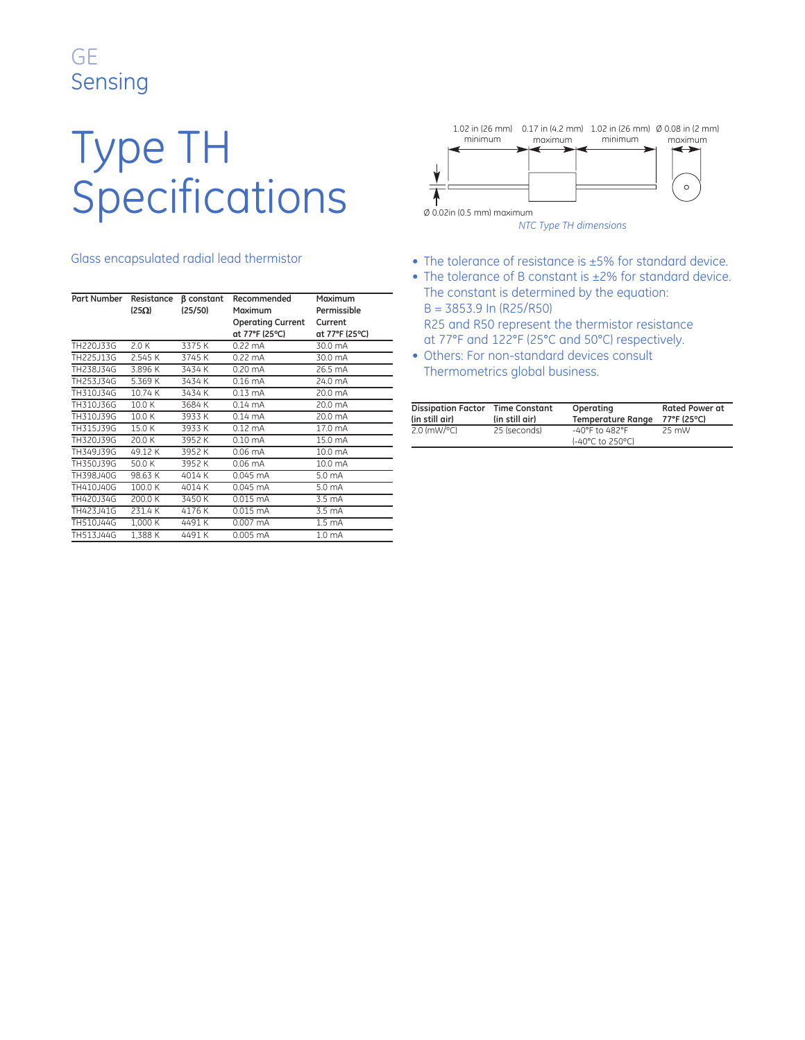# Type TH Specifications

#### Glass encapsulated radial lead thermistor

| Part Number                        | Resistance<br>$(25\Omega)$ | <b>B</b> constant<br>(25/50) | Recommended<br>Maximum<br><b>Operating Current</b><br>at 77°F (25°C) | Maximum<br>Permissible<br>Current<br>at 77°F (25°C) |
|------------------------------------|----------------------------|------------------------------|----------------------------------------------------------------------|-----------------------------------------------------|
| TH220J33G                          | 2.0K                       | 3375K                        | $0.22 \text{ mA}$                                                    | 30.0 mA                                             |
| TH <sub>225</sub> J <sub>13G</sub> | 2.545 K                    | 3745 K                       | $0.22 \text{ mA}$                                                    | 30.0 mA                                             |
| TH238J34G                          | 3.896 K                    | 3434 K                       | $0.20 \text{ mA}$                                                    | 26.5 mA                                             |
| TH253J34G                          | 5.369 K                    | 3434 K                       | $0.16 \text{ mA}$                                                    | 24.0 mA                                             |
| TH310J34G                          | 10.74 K                    | 3434 K                       | $0.13 \text{ mA}$                                                    | 20.0 mA                                             |
| TH310J36G                          | 10.0 K                     | 3684 K                       | $0.14 \text{ mA}$                                                    | 20.0 mA                                             |
| TH310J39G                          | 10.0 K                     | 3933K                        | $0.14 \text{ mA}$                                                    | 20.0 mA                                             |
| TH315J39G                          | 15.0 K                     | 3933K                        | $0.12 \text{ mA}$                                                    | 17.0 mA                                             |
| TH320.J39G                         | 20.0K                      | 3952 K                       | $0.10 \text{ mA}$                                                    | 15.0 mA                                             |
| TH349.J39G                         | 49.12 K                    | 3952K                        | $0.06$ mA                                                            | 10.0 mA                                             |
| TH350J39G                          | 50.0 K                     | 3952K                        | $0.06$ mA                                                            | 10.0 mA                                             |
| TH398.J40G                         | 98.63 K                    | 4014 K                       | 0.045 mA                                                             | 5.0 mA                                              |
| TH410.J40G                         | 100.0 K                    | 4014 K                       | $0.045 \text{ mA}$                                                   | 5.0 mA                                              |
| TH420J34G                          | 200.0K                     | 3450K                        | 0.015 mA                                                             | 3.5 mA                                              |
| TH423J41G                          | 231.4K                     | 4176K                        | $0.015$ mA                                                           | 3.5 mA                                              |
| TH510J44G                          | 1.000 K                    | 4491 K                       | 0.007 mA                                                             | 1.5 <sub>mA</sub>                                   |
| TH513J44G                          | 1.388 K                    | 4491K                        | 0.005 mA                                                             | 1.0 <sub>mA</sub>                                   |



*NTC Type TH dimensions*

- The tolerance of resistance is ±5% for standard device.
- The tolerance of B constant is ±2% for standard device. The constant is determined by the equation:  $B = 3853.9$  In (R25/R50)

R25 and R50 represent the thermistor resistance at 77°F and 122°F (25°C and 50°C) respectively.

• Others: For non-standard devices consult Thermometrics global business.

| <b>Dissipation Factor</b> | Time Constant  | Operating                                              | <b>Rated Power at</b> |
|---------------------------|----------------|--------------------------------------------------------|-----------------------|
| (in still air)            | (in still air) | <b>Temperature Range</b>                               | 77°F (25°C)           |
| $2.0$ (mW/ $^{\circ}$ C)  | 25 (seconds)   | $-40^{\circ}$ F to $482^{\circ}$ F<br>(-40°C to 250°C) | 25 mW                 |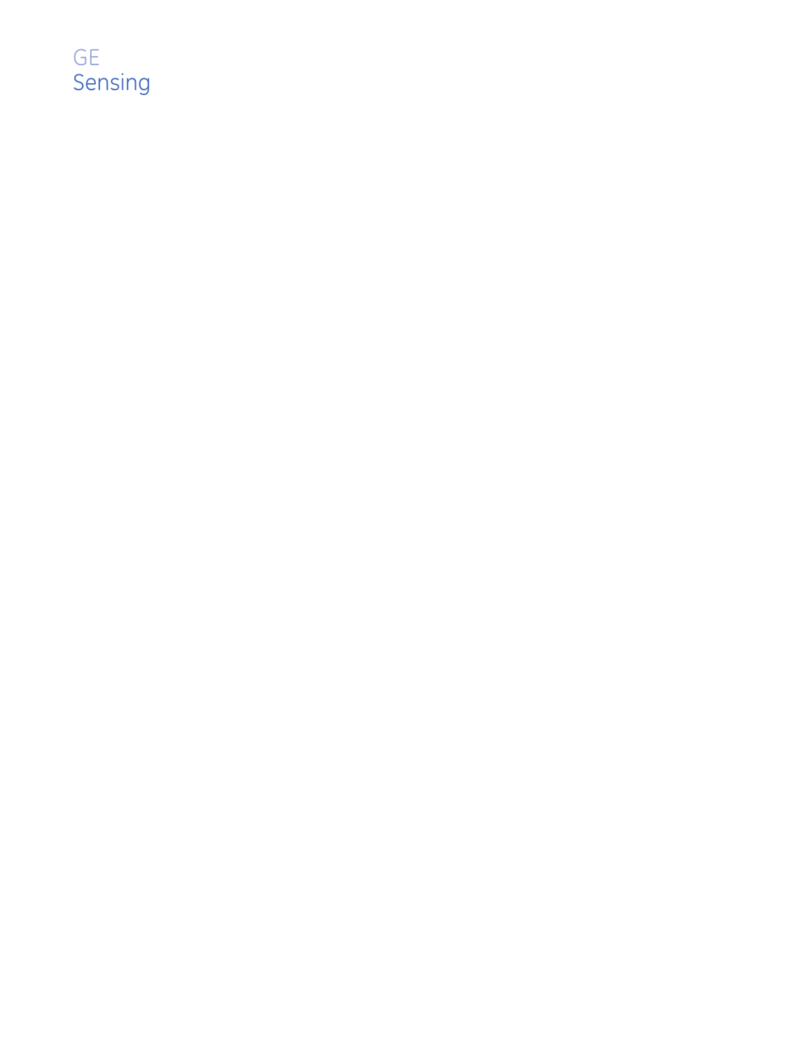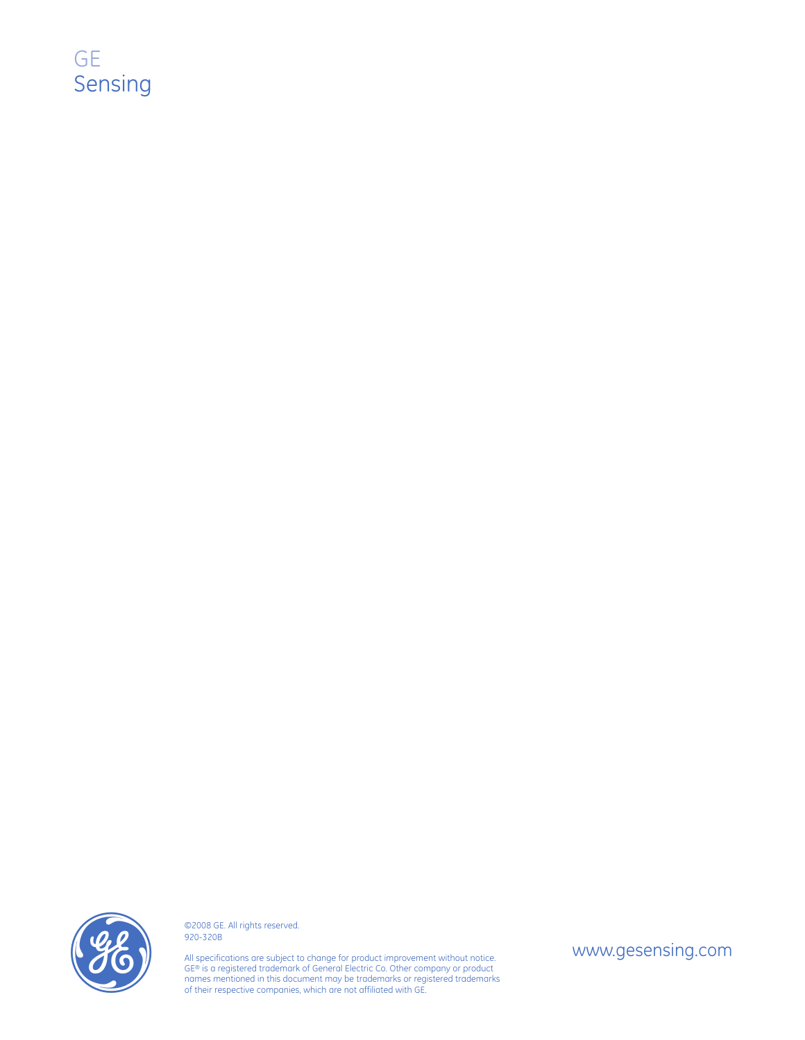



©2008 GE. All rights reserved. 920-320B

All specifications are subject to change for product improvement without notice. GE® is a registered trademark of General Electric Co. Other company or product names mentioned in this document may be trademarks or registered trademarks O2008 GE. All rights reserved.<br>
SP20-320B<br>
All specifications are subject to change for product improvement without notice.<br>
GE® is a registered trademark of General Electric Co. Other company or product<br>
names mentioned i